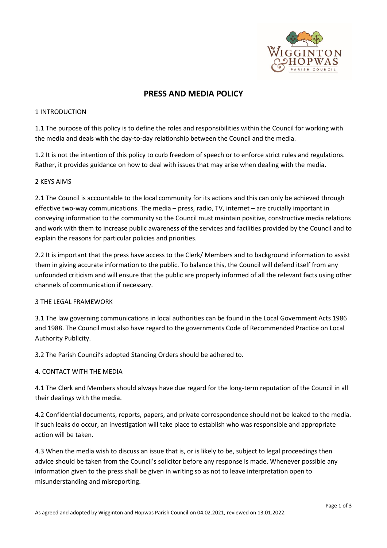

# **PRESS AND MEDIA POLICY**

#### 1 INTRODUCTION

1.1 The purpose of this policy is to define the roles and responsibilities within the Council for working with the media and deals with the day-to-day relationship between the Council and the media.

1.2 It is not the intention of this policy to curb freedom of speech or to enforce strict rules and regulations. Rather, it provides guidance on how to deal with issues that may arise when dealing with the media.

### 2 KEYS AIMS

2.1 The Council is accountable to the local community for its actions and this can only be achieved through effective two-way communications. The media – press, radio, TV, internet – are crucially important in conveying information to the community so the Council must maintain positive, constructive media relations and work with them to increase public awareness of the services and facilities provided by the Council and to explain the reasons for particular policies and priorities.

2.2 It is important that the press have access to the Clerk/ Members and to background information to assist them in giving accurate information to the public. To balance this, the Council will defend itself from any unfounded criticism and will ensure that the public are properly informed of all the relevant facts using other channels of communication if necessary.

#### 3 THE LEGAL FRAMEWORK

3.1 The law governing communications in local authorities can be found in the Local Government Acts 1986 and 1988. The Council must also have regard to the governments Code of Recommended Practice on Local Authority Publicity.

3.2 The Parish Council's adopted Standing Orders should be adhered to.

# 4. CONTACT WITH THE MEDIA

4.1 The Clerk and Members should always have due regard for the long-term reputation of the Council in all their dealings with the media.

4.2 Confidential documents, reports, papers, and private correspondence should not be leaked to the media. If such leaks do occur, an investigation will take place to establish who was responsible and appropriate action will be taken.

4.3 When the media wish to discuss an issue that is, or is likely to be, subject to legal proceedings then advice should be taken from the Council's solicitor before any response is made. Whenever possible any information given to the press shall be given in writing so as not to leave interpretation open to misunderstanding and misreporting.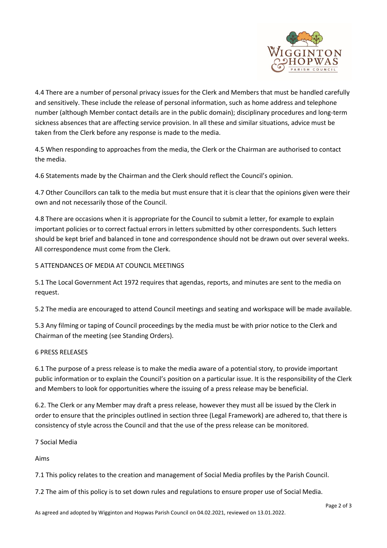

4.4 There are a number of personal privacy issues for the Clerk and Members that must be handled carefully and sensitively. These include the release of personal information, such as home address and telephone number (although Member contact details are in the public domain); disciplinary procedures and long-term sickness absences that are affecting service provision. In all these and similar situations, advice must be taken from the Clerk before any response is made to the media.

4.5 When responding to approaches from the media, the Clerk or the Chairman are authorised to contact the media.

4.6 Statements made by the Chairman and the Clerk should reflect the Council's opinion.

4.7 Other Councillors can talk to the media but must ensure that it is clear that the opinions given were their own and not necessarily those of the Council.

4.8 There are occasions when it is appropriate for the Council to submit a letter, for example to explain important policies or to correct factual errors in letters submitted by other correspondents. Such letters should be kept brief and balanced in tone and correspondence should not be drawn out over several weeks. All correspondence must come from the Clerk.

# 5 ATTENDANCES OF MEDIA AT COUNCIL MEETINGS

5.1 The Local Government Act 1972 requires that agendas, reports, and minutes are sent to the media on request.

5.2 The media are encouraged to attend Council meetings and seating and workspace will be made available.

5.3 Any filming or taping of Council proceedings by the media must be with prior notice to the Clerk and Chairman of the meeting (see Standing Orders).

# 6 PRESS RELEASES

6.1 The purpose of a press release is to make the media aware of a potential story, to provide important public information or to explain the Council's position on a particular issue. It is the responsibility of the Clerk and Members to look for opportunities where the issuing of a press release may be beneficial.

6.2. The Clerk or any Member may draft a press release, however they must all be issued by the Clerk in order to ensure that the principles outlined in section three (Legal Framework) are adhered to, that there is consistency of style across the Council and that the use of the press release can be monitored.

# 7 Social Media

Aims

7.1 This policy relates to the creation and management of Social Media profiles by the Parish Council.

7.2 The aim of this policy is to set down rules and regulations to ensure proper use of Social Media.